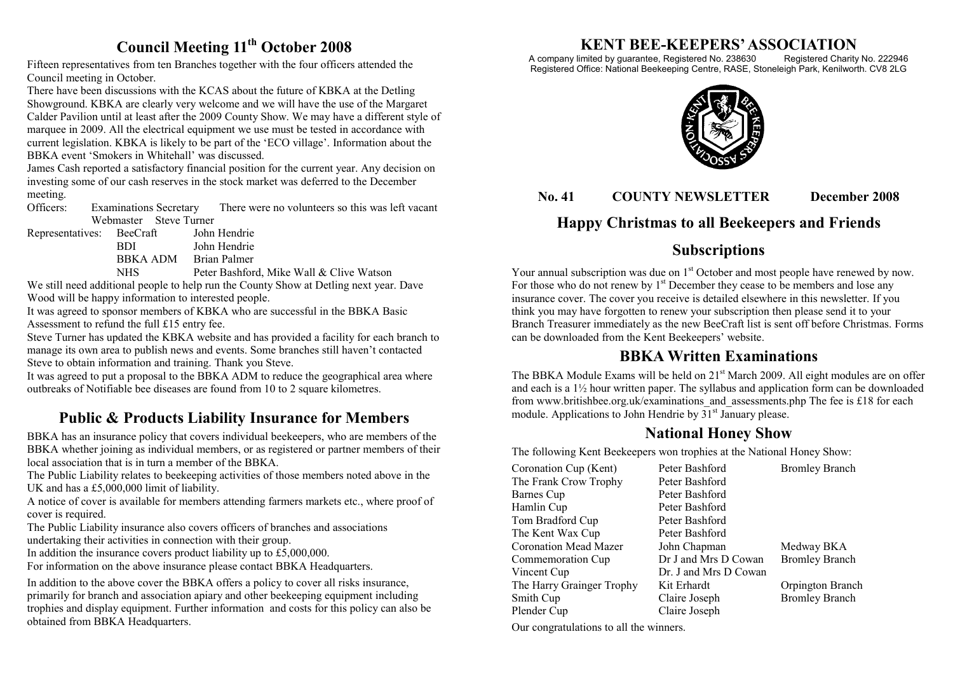### **Council Meeting 11th October 2008**

Fifteen representatives from ten Branches together with the four officers attended the Council meeting in October.

There have been discussions with the KCAS about the future of KBKA at the Detling Showground. KBKA are clearly very welcome and we will have the use of the Margaret Calder Pavilion until at least after the 2009 County Show. We may have a different style of marquee in 2009. All the electrical equipment we use must be tested in accordance with current legislation. KBKA is likely to be part of the 'ECO village'. Information about the BBKA event 'Smokers in Whitehall' was discussed.

James Cash reported a satisfactory financial position for the current year. Any decision on investing some of our cash reserves in the stock market was deferred to the December meeting.

Officers: Examinations Secretary There were no volunteers so this was left vacant Webmaster Steve Turner

| Representatives: | BeeCraft        | John Hendrie                                                                                                                                                                                                                                               |
|------------------|-----------------|------------------------------------------------------------------------------------------------------------------------------------------------------------------------------------------------------------------------------------------------------------|
|                  | BDI.            | John Hendrie                                                                                                                                                                                                                                               |
|                  | <b>BBKA ADM</b> | Brian Palmer                                                                                                                                                                                                                                               |
|                  | <b>ATTIC</b>    | $D_{11}$ $D_{22}$ $D_{13}$ $D_{24}$ $D_{15}$ $D_{16}$ $D_{17}$ $D_{18}$ $D_{19}$ $D_{10}$ $D_{11}$ $D_{10}$ $D_{11}$ $D_{10}$ $D_{11}$ $D_{10}$ $D_{11}$ $D_{10}$ $D_{11}$ $D_{10}$ $D_{11}$ $D_{10}$ $D_{11}$ $D_{10}$ $D_{11}$ $D_{11}$ $D_{10}$ $D_{11$ |

 NHS Peter Bashford, Mike Wall & Clive Watson We still need additional people to help run the County Show at Detling next year. Dave Wood will be happy information to interested people.

It was agreed to sponsor members of KBKA who are successful in the BBKA Basic Assessment to refund the full £15 entry fee.

Steve Turner has updated the KBKA website and has provided a facility for each branch to manage its own area to publish news and events. Some branches still haven't contacted Steve to obtain information and training. Thank you Steve.

It was agreed to put a proposal to the BBKA ADM to reduce the geographical area where outbreaks of Notifiable bee diseases are found from 10 to 2 square kilometres.

## **Public & Products Liability Insurance for Members**

BBKA has an insurance policy that covers individual beekeepers, who are members of the BBKA whether joining as individual members, or as registered or partner members of their local association that is in turn a member of the BBKA.

The Public Liability relates to beekeeping activities of those members noted above in the UK and has a £5,000,000 limit of liability.

A notice of cover is available for members attending farmers markets etc., where proof of cover is required.

The Public Liability insurance also covers officers of branches and associations undertaking their activities in connection with their group.

In addition the insurance covers product liability up to £5,000,000.

For information on the above insurance please contact BBKA Headquarters.

In addition to the above cover the BBKA offers a policy to cover all risks insurance, primarily for branch and association apiary and other beekeeping equipment including trophies and display equipment. Further information and costs for this policy can also be obtained from BBKA Headquarters.

# **KENT BEE-KEEPERS' ASSOCIATION**

A company limited by guarantee, Registered No. 238630 Registered Charity No. 222946 Registered Office: National Beekeeping Centre, RASE, Stoneleigh Park, Kenilworth. CV8 2LG



**No. 41 COUNTY NEWSLETTER December 2008** 

# **Happy Christmas to all Beekeepers and Friends**

# **Subscriptions**

Your annual subscription was due on  $1<sup>st</sup>$  October and most people have renewed by now. For those who do not renew by  $1<sup>st</sup>$  December they cease to be members and lose any insurance cover. The cover you receive is detailed elsewhere in this newsletter. If you think you may have forgotten to renew your subscription then please send it to your Branch Treasurer immediately as the new BeeCraft list is sent off before Christmas. Forms can be downloaded from the Kent Beekeepers' website.

## **BBKA Written Examinations**

The BBKA Module Exams will be held on  $21<sup>st</sup>$  March 2009. All eight modules are on offer and each is a  $1\frac{1}{2}$  hour written paper. The syllabus and application form can be downloaded from www.britishbee.org.uk/examinations\_and\_assessments.php The fee is £18 for each module. Applications to John Hendrie by  $31<sup>st</sup>$  January please.

## **National Honey Show**

The following Kent Beekeepers won trophies at the National Honey Show:

| Coronation Cup (Kent)        | Peter Bashford        | <b>Bromley Branch</b> |
|------------------------------|-----------------------|-----------------------|
| The Frank Crow Trophy        | Peter Bashford        |                       |
| Barnes Cup                   | Peter Bashford        |                       |
| Hamlin Cup                   | Peter Bashford        |                       |
| Tom Bradford Cup             | Peter Bashford        |                       |
| The Kent Wax Cup             | Peter Bashford        |                       |
| <b>Coronation Mead Mazer</b> | John Chapman          | Medway BKA            |
| Commemoration Cup            | Dr J and Mrs D Cowan  | <b>Bromley Branch</b> |
| Vincent Cup                  | Dr. J and Mrs D Cowan |                       |
| The Harry Grainger Trophy    | Kit Erhardt           | Orpington Branch      |
| Smith Cup                    | Claire Joseph         | <b>Bromley Branch</b> |
| Plender Cup                  | Claire Joseph         |                       |
|                              |                       |                       |

Our congratulations to all the winners.